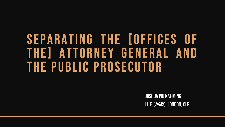# SEPARATING THE [OFFICES OF THE] ATTORNEY GENERAL AND THE PUBLIC PROSECUTOR

Joshua Wu Kai-Ming LL.B (*Hons*), London, Clp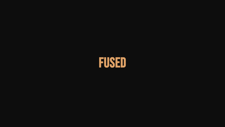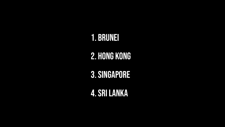# 1. BRUNEI

# 2. HONG KONG

3.SINGAPORE

4.SRILANKA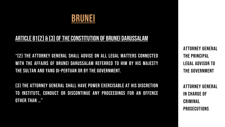

#### ARTICLE 81(2) & (3) OF THE CONSTITUTION OF BRUNEI DARUSSALAM

"(2) The Attorney General shall advise on all legal matters connected with the affairs of Brunei Darussalam referred to him by His Majesty the Sultan and Yang Di-Pertuan or by the Government.

(3) The Attorney General shall have power exercisable at his discretion to institute, conduct or discontinue any proceedings for an offence other than …"

ATTORNEY GENERAL THE PRINCIPAL LEGAL ADVISOR TO THE GOVERNMENT

ATTORNEY GENERAL IN CHARGE OF CRIMINAL **PROSECUTIONS**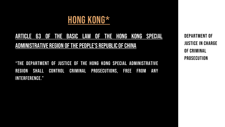### HONG KONG\*

### Article 63 of the Basic Law of the Hong Kong Special ADMINISTRATIVE REGION OF THE PEOPLE'S REPUBLIC OF CHINA

"The Department of Justice of the Hong Kong Special Administrative Region shall control criminal prosecutions, free from any interference."

DEPARTMENT OF JUSTICE in charge of criminal prosecution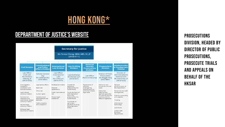### HONG KONG\*

### DEPRARTMENT OF JUSTICE'S WEBSITE PROSECUTIONS

| <b>Secretary for Justice</b><br>Ms Teresa Cheng, GBM, GBS, SC, JP<br>(39184111)                                                                                                                                                                                         |                                                                                                                                                                      |                                                                                                               |                                                                                                                                                                                                                                          |                                                                                                   |                                                                                                                                                                     |                                                                                                                                                                                                                               |
|-------------------------------------------------------------------------------------------------------------------------------------------------------------------------------------------------------------------------------------------------------------------------|----------------------------------------------------------------------------------------------------------------------------------------------------------------------|---------------------------------------------------------------------------------------------------------------|------------------------------------------------------------------------------------------------------------------------------------------------------------------------------------------------------------------------------------------|---------------------------------------------------------------------------------------------------|---------------------------------------------------------------------------------------------------------------------------------------------------------------------|-------------------------------------------------------------------------------------------------------------------------------------------------------------------------------------------------------------------------------|
| <b>Civil Division</b>                                                                                                                                                                                                                                                   | <b>Constitutional</b><br>and Policy<br><b>Affairs Division</b>                                                                                                       | <b>International</b><br><b>Law Division</b>                                                                   | <b>Law Drafting</b><br><b>Division</b>                                                                                                                                                                                                   | <b>National</b><br><b>Security</b><br><b>Prosecutions</b><br><b>Division</b>                      | <b>Prosecutions</b><br><b>Division</b>                                                                                                                              | <b>Administration</b><br>& Development<br><b>Division</b>                                                                                                                                                                     |
| Law Officer<br>(Civil Law)<br>Ms Christina<br>Cheung, JP<br>(39184333)                                                                                                                                                                                                  | Solicitor General<br>(Ag)<br>Mr Llewellyn Mui<br>(39184007)                                                                                                          | Law Officer<br><i>(International</i><br>Law)<br>Ms Linda Lam<br>(39184777)                                    | Law Draftsman<br>Mr Michael Lam<br>(39184647)                                                                                                                                                                                            | Law Officer<br>(National Security)                                                                | Director of Public<br>Prosecutions<br>Ms Maggie Yang<br>(39028001)                                                                                                  | Director of<br>Administration &<br>Development<br>Ms Gracie Foo, IP<br>(39184222)                                                                                                                                             |
| Civil Litigation,<br>mediation,<br>arbitration and<br>tribunal matters<br>Land related<br>advisory matters<br>Commercial<br>contracts and<br>commercial related<br>advisory matters<br>General legal<br>advisory matters<br><b>Bilingual legal</b><br>documents matters | Legal policy affairs<br><b>Basic Law</b><br>China law<br>Human rights<br>Constitutional<br>development and<br>elections<br><b>Public enquiries</b><br>and complaints | Multilateral treaties<br>Bilateral<br>agreements<br>Public international<br>law<br>Mutual legal<br>assistance | To draft all<br>legislation<br>proposed by the<br>Government<br>To yet the form of<br>draft legislation<br>that is not<br>proposed by the<br>Government<br>To provide an<br>up-to-date<br>database of Hong<br>Kong legislation<br>(HKeL) | Prosecution of<br>offences<br>endangering<br>national security<br>and other related<br>legal work | Advise on and<br>prosecute criminal<br>cases<br>Advise law<br>enforcement<br>agencies generally<br>on criminal law and<br>practice and the<br>effect of legislation | General<br>administration of<br>the Department<br>Personnel and staff<br>management<br>Finance, accounting<br>and supplies<br>Training<br>Information<br>technology<br>Law library<br>Liaison with<br>bureaux/<br>departments |

DIVISION, HEADED BY DIRECTOR OF PUBLIC PROSECUTIONS, prosecute trials and appeals on behalf of the **HKSAR**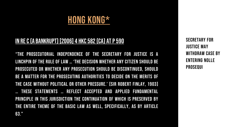### HONG KONG\*

### IN RE C (A BANKRUPT) [2006] 4 HKC 582 (CA) AT P 590

"The prosecutorial independence of the Secretary for Justice is a linchpin of the rule of law … 'the decision whether any citizen should be prosecuted or whether any prosecution should be discontinued, should be a matter for the prosecuting authorities to decide on the merits of the case without political or other pressure.' [Sir Robert Finlay, 1903] … these statements … reflect accepted and applied fundamental principle in this jurisdiction the continuation of which is preserved by the entire theme of the Basic Law as well, specifically, as by article 63."

SECRETARY FOR Justice may withdraw case by entering nolle prosequi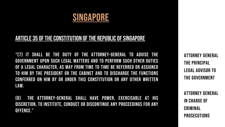### SINGAPORE

#### ARTICLE 35 OF THE CONSTITUTION OF THE REPUBLIC OF SINGAPORE

"(7) It shall be the duty of the Attorney-General to advise the Government upon such legal matters and to perform such other duties of a legal character, as may from time to time be referred or assigned to him by the President or the Cabinet and to discharge the functions conferred on him by or under this Constitution or any other written law.

(8) The Attorney-General shall have power, exercisable at his discretion, to institute, conduct or discontinue any proceedings for any offence."

ATTORNEY GENERAL THE PRINCIPAL LEGAL ADVISOR TO THE GOVERNMENT

ATTORNEY GENERAL IN CHARGE OF CRIMINAL PROSECUTIONS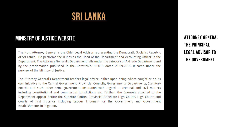### SRI LANKA

#### MINISTRY OF JUSTICE WEBSITE ATTORNEY GENERAL

The Hon. Attorney General is the Chief Legal Advisor representing the Democratic Socialist Republic of Sri Lanka. He performs the duties as the Head of the Department and Accounting Officer in the Department. The Attorney General's Department falls under the category of A Grade Department and by the proclamation published in the GazetteNo.1933/13 dated 21.09.2015, it came under the purview of the Ministry of Justice.

The Attorney General's Department tenders legal advice, either upon being advice sought or on its own initiative to the Central Government, Provincial Councils, Government's Departments, Statutory Boards and such other semi government institution with regard to criminal and civil matters including constitutional and commercial jurisdictions etc. Further, the Counsels attached to the Department appear before the Superior Courts, Provincial Appellate High Courts, High Courts and Courts of first instance including Labour Tribunals for the Government and Government Establishments in litigation.

THE PRINCIPAL LEGAL ADVISOR TO THE GOVERNMENT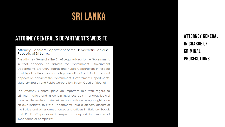### SRI LANKA

#### ATTORNEY GENERAL'S DEPARTMENT'S WEBSITE

#### Attorney General's Department of the Democratic Socialist Republic of Sri Lanka.

The Attorney General is the Chief Legal Advisor to the Government. In that capacity he advises the Government, Government Departments, Statutory Boards and Public Corporations in respect of all legal matters. He conducts prosecutions in criminal cases and appears on behalf of the Government, Government Departments, Statutory Boards and Public Corporations in any Court or Tribunal.

The Attorney General plays an important role with regard to criminal matters and in certain instances acts in a quasi-judicial manner. He renders advise, either upon advice being sought or on his own initiative to State Departments, public officers, officers of the Police and other armed forces and officers in Statutory Boards and Public Corporations in respect of any criminal matter of importance or complexity.

ATTORNEY GENERAL IN CHARGE OF CRIMINAL PROSECUTIONS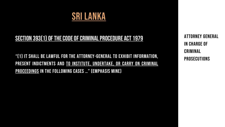

#### SECTION 393(1) OF THE CODE OF CRIMINAL PROCEDURE ACT 1979

"(1) It shall be lawful for the Attorney-General to exhibit information, PRESENT INDICTMENTS AND TO INSTITUTE, UNDERTAKE, OR CARRY ON CRIMINAL proceedings in the following cases …" (Emphasis mine)

ATTORNEY GENERAL IN CHARGE OF CRIMINAL PROSECUTIONS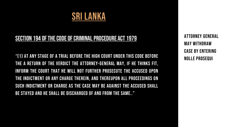

#### SECTION 194 OF THE CODE OF CRIMINAL PROCEDURE ACT 1979

"(1) At any stage of a trial before the High Court under this Code before the a return of the verdict the Attorney-General may, if he thinks fit, inform the court that he will not further prosecute the accused upon the indictment or any charge therein, and thereupon all proceedings on such indictment or charge as the case may be against the accused shall be stayed and he shall be discharged of and from the same.."

ATTORNEY GENERAL may withdraw case by entering nolle prosequi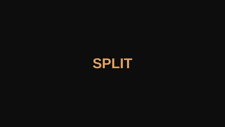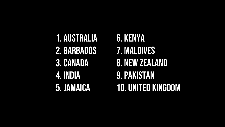1. AUSTRALIA 2. BARBADOS 3.CANADA 4. INDIA 5. JAMAICA

6. KENYA 7. MALDIVES 8. NEW ZEALAND 9.PAKISTAN 10. UNITED KINGDOM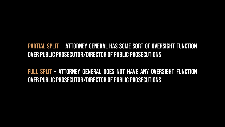### Partial split – ATTORNEY GENERAL has some sort of oversight function OVER PUBLIC PROSECUTOR/DIRECTOR OF PUBLIC PROSECUTIONS

Full Split – ATTORNEY GENERAL does not have any oversight function OVER PUBLIC PROSECUTOR/DIRECTOR OF PUBLIC PROSECUTIONS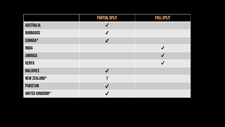|                     | <b>PARTIAL SPLIT</b> | <b>FULL SPLIT</b>    |
|---------------------|----------------------|----------------------|
| <b>AUSTRALIA</b>    | $\sqrt{}$            |                      |
| <b>BARBADOS</b>     | $\blacktriangledown$ |                      |
| <b>CANADA*</b>      | $\sqrt{}$            |                      |
| <b>INDIA</b>        |                      | $\blacktriangledown$ |
| <b>JAMAICA</b>      |                      | $\blacktriangledown$ |
| <b>KENYA</b>        |                      | $\checkmark$         |
| <b>MALDIVES</b>     | $\blacktriangledown$ |                      |
| <b>NEW ZEALAND*</b> | ?                    |                      |
| <b>PAKISTAN</b>     | $\blacktriangledown$ |                      |
| UNITED KINGDOM*     |                      |                      |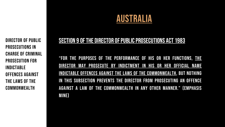Director of public prosecutions in charge of criminal prosecution for indictable offences against the laws of the **COMMONWEALTH** 

#### SECTION 9 OF THE DIRECTOR OF PUBLIC PROSECUTIONS ACT 1983

"For the purposes of the performance of his or her functions, the Director may prosecute by indictment in his or her official name indictable offences against the laws of the Commonwealth, but nothing in this subsection prevents the Director from prosecuting an offence against a law of the Commonwealth in any other manner." (Emphasis mine)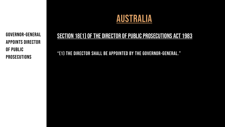GOVERNOR-GENERAL APPOINTS Director of public prosecutions

### AUSTRALIA

#### SECTION 18(1) OF THE DIRECTOR OF PUBLIC PROSECUTIONS ACT 1983

"(1) The Director shall be appointed by the Governor-General."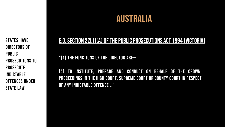STATES HAVE DIRECTORS OF PUBLIC PROSECUTIONS TO PROSECUTE INDICTABLE OFFENCES UNDER STATE LAW

### AUSTRALIA

#### E.G. SECTION 22(1)(A) OF THE PUBLIC PROSECUTIONS ACT 1994 (VICTORIA)

"(1) The functions of the Director are—

(a) to institute, prepare and conduct on behalf of the Crown, proceedings in the High Court, Supreme Court or County Court in respect of any indictable offence …"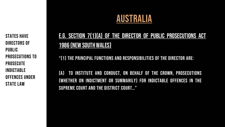PROSECUTE STATES HAVE DIRECTORS OF PUBLIC PROSECUTIONS TO INDICTABLE OFFENCES UNDER STATE LAW

### E.g. Section 7(1)(a) of the DIRECTOR OF PUBLIC PROSECUTIONS ACT 1986 (NEW SOUTH WALES)

"(1) The principal functions and responsibilities of the Director are:

(a) to institute and conduct, on behalf of the Crown, prosecutions (whether on indictment or summarily) for indictable offences in the Supreme Court and the District Court…"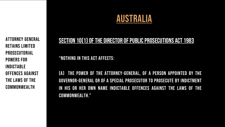ATTORNEY GENERAL RETAINS LIMITED PROSECUTORIAL POWERS for indictable offences against the laws of the **COMMONWEALTH** 

#### SECTION 10(1) OF THE DIRECTOR OF PUBLIC PROSECUTIONS ACT 1983

"Nothing in this Act affects:

(a) the power of the Attorney-General, of a person appointed by the Governor-General or of a Special Prosecutor to prosecute by indictment in his or her own name indictable offences against the laws of the Commonwealth."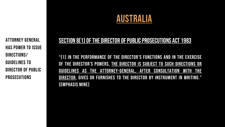ATTORNEY GENERAL HAS POWER TO ISSUE DIRECTIONS/ GUIDELINES TO DIRECTOR OF PUBLIC PROSECUTIONS

#### SECTION 8(1) OF THE DIRECTOR OF PUBLIC PROSECUTIONS ACT 1983

"(1) In the performance of the Director's functions and in the exercise of the Director's powers, the Director is subject to such directions or guidelines as the Attorney-General, after consultation with the DIRECTOR, GIVES OR FURNISHES TO THE DIRECTOR BY INSTRUMENT IN WRITING." (Emphasis mine)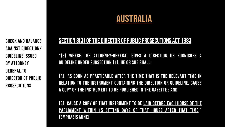CHECK AND BALANCE AGAINST DIRECTION/ GUIDELINE ISSUED BY ATTORNEY GENERAL TO DIRECTOR OF PUBLIC PROSECUTIONS

#### SECTION 8(3) OF THE DIRECTOR OF PUBLIC PROSECUTIONS ACT 1983

"(3) Where the Attorney-General gives a direction or furnishes a guideline under subsection (1), he or she shall:

(a) as soon as practicable after the time that is the relevant time in relation to the instrument containing the direction or guideline, cause a copy of the instrument to be published in the Gazette ; and

(b) cause a copy of that instrument to be laid before each House of the Parliament within 15 sitting days of that House after that time." (Emphasis mine)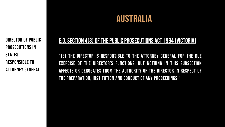DIRECTOR OF PUBLIC PROSECUTIONS IN **STATES** RESPONSIBLE TO ATTORNEY GENERAL

#### E.G. SECTION 4(3) OF THE PUBLIC PROSECUTIONS ACT 1994 (VICTORIA)

"(3) The Director is responsible to the Attorney General for the due exercise of the Director's functions, but nothing in this subsection affects or derogates from the authority of the Director in respect of the preparation, institution and conduct of any proceedings."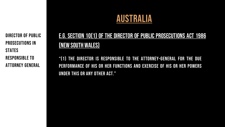DIRECTOR OF PUBLIC PROSECUTIONS IN **STATES** RESPONSIBLE TO ATTORNEY GENERAL

### E.G. Section 10(1) of the DIRECTOR OF PUBLIC PROSECUTIONS ACT 1986 (NEW SOUTH WALES)

"(1) The Director is responsible to the Attorney-General for the due performance of his or her functions and exercise of his or her powers under this or any other Act."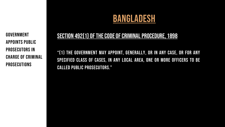GOVERNMENT APPOINTS PUBLIC prosecutORS in CHARGE OF CRIMINAL PROSECUTIONS

### BANGLADESH

#### SECTION 492(1) OF THE CODE OF CRIMINAL PROCEDURE, 1898

"(1) The Government may appoint, generally, or in any case, or for any specified class of cases, in any local area, one or more officers to be called Public Prosecutors."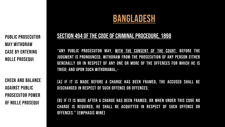### BANGLADESH

PUBLIC PROSECUTOR may withdraw case by entering nolle prosequi

CHECK AND BALANCE AGAINST PUBLIC PROSECUTOR POWER OF nolle prosequi

#### SECTION 494 OF THE CODE OF CRIMINAL PROCEDURE, 1898

"Any Public Prosecutor may, with the consent of the Court, before the judgment is pronounced, withdraw from the prosecution of any person either generally or in respect of any one or more of the offences for which he is tried; and upon such withdrawal,-

(a) if it is made before a charge has been framed, the accused shall be discharged in respect of such offence or offences;

(b) if it is made after a charge has been framed, or when under this Code no charge is required, he shall be acquitted in respect of such offence or offences." (EMPHASIS MINE)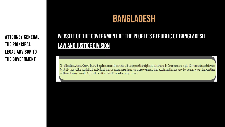ATTORNEY GENERAL THE PRINCIPAL LEGAL ADVISOR TO THE GOVERNMENT

### BANGLADESH

### WEBSITE OF THE GOVERNMENT OF THE PEOPLE'S REPUBLIC OF BANGLADESH LAW AND JUSTICE DIVISION

The office of the Attorney General deals with legal matters and is entrusted with the responsibility of giving legal advice to the Government and to plead Government cases before the Court. The nature of the work is highly professional. They are not permanent incumbent of the government. Their appointment is made on ad-hoc basis. At present, there are three Additional Attorney-Generals, Deputy Attorney-Generals and Assistant Attorney-Generals.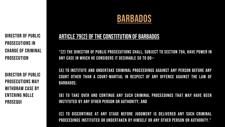DIRECTOR OF PUBLIC PROSECUTIONS IN CHARGE OF CRIMINAL PROSECUTION

DIRECTOR OF PUBLIC PROSECUTIONS may WITHDRAW CASE BY entering nolle prosequi

### BARBADOS

#### ARTICLE 79(2) OF THE CONSTITUTION OF BARBADOS

"(2) The Director of Public Prosecutions shall, subject to section 79A, have power in any case in which he considers it desirable so to do—

(a) to institute and undertake criminal proceedings against any person before any court other than a court-martial in respect of any offence against the law of BARBADOS;

(b) to take over and continue any such criminal proceedings that may have been instituted by any other person or authority; and

(C) to discontinue at any stage before judgment is delivered any such criminal proceedings instituted or undertaken by himself or any other person or authority."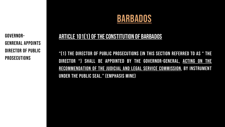#### GOVERNOR-GENRERAL APPOINTS DIRECTOR OF PUBLIC **PROSECUTIONS**

### BARBADOS

#### ARTICLE 101(1) OF THE CONSTITUTION OF BARBADOS

"(1) The Director of Public Prosecutions (in this section referred to as " the DIRECTOR ") SHALL BE APPOINTED BY THE GOVERNOR-GENERAL, ACTING ON THE recommendation of the Judicial and Legal Service Commission, by instrument under the Public Seal." (EMPHASIS MINE)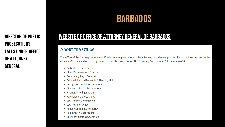### PROSECUTIONS FALLS UNDER OFFICE OF ATTORNEY GENERAL

## BARBADOS

#### DIRECTOR OF PUBLIC WEBSITE OF OFFICE OF ATTORNEY GENERAL OF BARBADOS

#### **About the Office**

The Office of the Attorney General (OAG) advises the government on legal issues, provides support for the institutions involved in the delivery of justice and enacts legislation to keep the laws current. The following Departments fall under the OAG:

- Barbados Police Service
- Chief Parliamentary Counsel
- Community Legal Services
- Criminal Justice Research & Planning Unit
- Design and Implementation Unit
- Director of Public Prosecutions
- Financial Intelligence Unit
- Forensics Sciences Center
- Law Reform Commission
- Law Revision Office
- Police Complaints Authority
- Registration Department
- Solicitor General's Chambers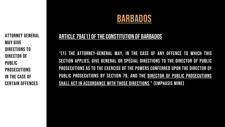Attorney General may give directions to Director of Public **PROSECUTIONS** in the case of certain offences

## BARBADOS

#### ARTICLE 79A(1) OF THE CONSTITUTION OF BARBADOS

"(1) The Attorney-General may, in the case of any offence to which this section applies, give general or special directions to the Director of Public Prosecutions as to the exercise of the powers conferred upon the Director of PUBLIC PROSECUTIONS BY SECTION 79, AND THE DIRECTOR OF PUBLIC PROSECUTIONS shall act in accordance with those directions." (EMPHASIS MINE)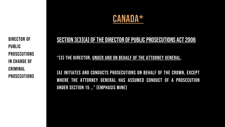

Director of Public **PROSECUTIONS** in CHARGE OF CRIMINAL PROSECUTIONS

#### SECTION 3[3][A] OF THE DIRECTOR OF PUBLIC PROSECUTIONS ACT 2006

"(3) The Director, under and on behalf of the Attorney General,

(a) initiates and conducts prosecutions on behalf of the Crown, except where the Attorney General has assumed conduct of a prosecution under section 15 …" (EMPHASIS MINE)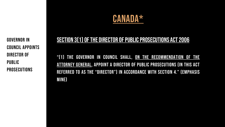

GOVERNOR IN COUNCIL APPOINTS Director of Public **PROSECUTIONS** 

#### SECTION 3(1) OF THE DIRECTOR OF PUBLIC PROSECUTIONS ACT 2006

"(1) The Governor in Council shall, on the recommendation of the Attorney General, appoint a Director of Public Prosecutions (in this Act referred to as the "Director") in accordance with section 4." (EMPHASIS MINE)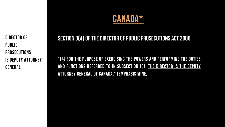Director of Public **PROSECUTIONS** IS DEPUTY ATTORNEY GENERAL

### CANADA\*

#### SECTION 3(4) OF THE DIRECTOR OF PUBLIC PROSECUTIONS ACT 2006

"(4) For the purpose of exercising the powers and performing the duties and functions referred to in subsection (3), the Director is the Deputy Attorney General of Canada." (EMPHASIS MINE)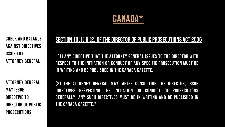### CANADA\*

CHECK AND BALANCE AGAINST DIRECTIVES ISSUED BY ATTORNEY GENERAL

ATTORNEY GENERAL MAY ISSUE DIRECTIVE TO DIRECTOR OF PUBLIC PROSECUTIONS

#### SECTION 10(1) & (2) OF THE DIRECTOR OF PUBLIC PROSECUTIONS ACT 2006

"(1) Any directive that the Attorney General issues to the Director with respect to the initiation or conduct of any specific prosecution must be in writing and be published in the Canada Gazette.

(2) The Attorney General may, after consulting the Director, issue directives respecting the initiation or conduct of prosecutions generally. Any such directives must be in writing and be published in the Canada Gazette."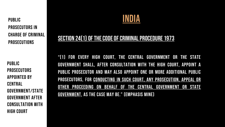PROSECUTIONS PUBLIC PROSECUTORS IN CHARGE OF CRIMINAL

PUBLIC **PROSECUTORS** more of the best officers to be a product of the best of the best of the best of the best of the best of the b<br>The best of the best of the best of the best of the best of the best of the best of the best of the best of th APPOINTED BY CENTRAL GOVERNMENT/STATE GOVERNMENT AFTER CONSULTATION WITH HIGH COURT



#### SECTION 24(1) OF THE CODE OF CRIMINAL PROCEDURE 1973

"(1) For every High Court, the Central Government or the State Government shall, after consultation with the High Court, appoint a Public Prosecutor and may also appoint one or more Additional Public Prosecutors, for conducting in such Court, any prosecution, appeal or other proceeding on behalf of the Central Government or State Government, as the case may be." (EMPHASIS MINE)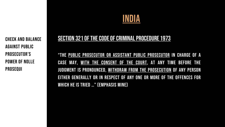## INDIA

CHECK AND BALANCE AGAINST PUBLIC PROSECUTOR'S POWER OF NOLLE PROSEQUI

#### SECTION 321 OF THE CODE OF CRIMINAL PROCEDURE 1973

"The Public Prosecutor or Assistant Public Prosecutor in charge of a case may, with the consent of the Court, at any time before the judgment is pronounced, withdraw from the prosecution of any person either generally or in respect of any one or more of the offences for which he is tried …" (EMPHASIS MINE)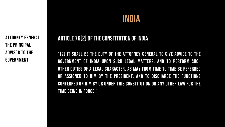ATTORNEY GENERAL THE PRINCIPAL ADVISOR TO THE GOVERNMENT

## INDIA

#### ARTICLE 76(2) OF THE CONSTITUTION OF INDIA

"(2) It shall be the duty of the Attorney-General to give advice to the Government of India upon such legal matters, and to perform such other duties of a legal character, as may from time to time be referred or assigned to him by the President, and to discharge the functions conferred on him by or under this Constitution or any other law for the time being in force."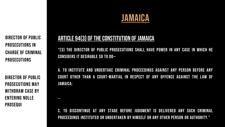DIRECTOR OF PUBLIC PROSECUTIONS IN CHARGE OF CRIMINAL PROSECUTIONS

DIRECTOR OF PUBLIC PROSECUTIONS may WITHDRAW CASE BY entering nolle prosequi

…

### JAMAICA

#### ARTICLE 94(3) OF THE CONSTITUTION OF JAMAICA

"(3) The Director of Public Prosecutions shall have power in any case in which he considers it desirable so to do—

a. to institute and undertake criminal proceedings against any person before any court other than a court-martial in respect of any offence against the law of JAMAICA;

C. to discontinue at any stage before judgment is delivered any such criminal proceedings instituted or undertaken by himself or any other person or authority."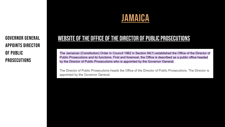### JAMAICA

appoints Director of Public **PROSECUTIONS** 

#### GOVERNOR GENERAL WEBSITE OF THE OFFICE OF THE DIRECTOR OF PUBLIC PROSECUTIONS

The Jamaican (Constitution) Order in Council 1962 in Section 94(1) established the Office of the Director of Public Prosecutions and its functions. First and foremost, the Office is described as a public office headed by the Director of Public Prosecutions who is appointed by the Governor General.

The Director of Public Prosecutions heads the Office of the Director of Public Prosecutions. The Director is appointed by the Governor General.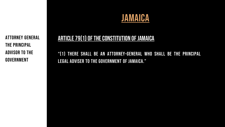JAMAICA

ATTORNEY GENERAL THE PRINCIPAL ADVISOR TO THE GOVERNMENT

### ARTICLE 79(1) OF THE CONSTITUTION OF JAMAICA

"(1) There shall be an Attorney-General who shall be the principal legal adviser to the Government of Jamaica."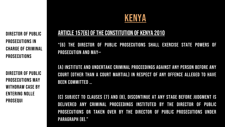DIRECTOR OF PUBLIC PROSECUTIONS IN CHARGE OF CRIMINAL PROSECUTIONS

DIRECTOR OF PUBLIC PROSECUTIONS may withdraw case by entering nolle prosequi

### KENYA

#### ARTICLE 157(6) OF THE CONSTITUTION OF KENYA 2010

"(6) The Director of Public Prosecutions shall exercise State powers of prosecution and may—

(a) institute and undertake criminal proceedings against any person before any court (other than a court martial) in respect of any offence alleged to have been committed …

(c) subject to clauses (7) and (8), discontinue at any stage before judgment is delivered any criminal proceedings instituted by the Director of Public Prosecutions or taken over by the Director of Public Prosecutions under PARAGRAPH (B)."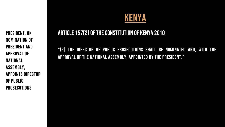PRESIDENT, ON NOMINATION of PRESIDENT AND APPROVAL OF NATIONAL ASSEMBLY, APPOINTS DIRECTOR OF PUBLIC PROSECUTIONS

### KENYA

### ARTICLE 157(2) OF THE CONSTITUTION OF KENYA 2010

"(2) The Director of Public Prosecutions shall be nominated and, with the approval of the National Assembly, appointed by the President."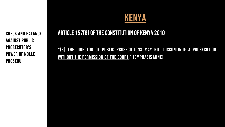CHECK AND BALANCE AGAINST PUBLIC PROSECUTOR'S POWER OF NOLLE PROSEQUI

### KENYA

#### ARTICLE 157(8) OF THE CONSTITUTION OF KENYA 2010

"(8) The Director of Public Prosecutions may not discontinue a prosecution WITHOUT THE PERMISSION OF THE COURT." (EMPHASIS MINE)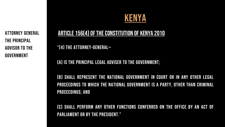ATTORNEY GENERAL THE PRINCIPAL ADVISOR TO THE GOVERNMENT

### KENYA

#### ARTICLE 156(4) OF THE CONSTITUTION OF KENYA 2010

"(4) The Attorney-General—

(a) is the principal legal adviser to the Government;

(b) shall represent the national government in court or in any other legal proceedings to which the national government is a party, other than criminal proceedings; and

(c) shall perform any other functions conferred on the office by an Act of PARLIAMENT OR BY THE PRESIDENT."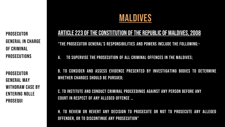PROSECUTOR GENERAL IN CHARGE OF CRIMINAL PROSECUTIONS

PROSECUTOR GENERAL may withdraw case by entering nolle prosequi

### MALDIVES

### ARTICLE 223 OF THE CONSTITUTION OF THE REPUBLIC OF MALDIVES, 2008

"The Prosecutor General's responsibilities and powers include the following:-

- a. to supervise the prosecution of all criminal offences in the Maldives;
- b. to consider and assess evidence presented by investigating bodies to determine whether charges should be pursued;
- c. to institute and conduct criminal proceedings against any person before any court in respect of any alleged offence …

H. to review or revert any decision to prosecute or not to prosecute any alleged offender, or to discontinue any prosecution"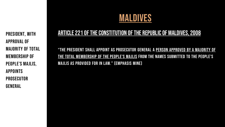PRESIDENT, WITH APPROVAL OF MAJORITY OF TOTAL MEMBERSHIP OF PEOPLE'S MAJLIS, APPOINTS PROSECUTOR GENERAL

### MALDIVES

#### ARTICLE 221 OF THE CONSTITUTION OF THE REPUBLIC OF MALDIVES, 2008

"The President shall appoint as Prosecutor General a person approved by a majority of the total membership of the People's Majlis from the names submitted to the People's Majlis as provided for in law." (EMPHASIS MINE)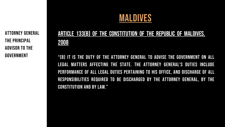MALDIVES

ATTORNEY GENERAL THE PRINCIPAL ADVISOR TO THE GOVERNMENT

### Article 133(B) of THE Constitution of the Republic of Maldives, 2008

"(B) It is the duty of the Attorney General to advise the Government on all legal matters affecting the State. The Attorney General's duties include performance of all legal duties pertaining to his office, and discharge of all responsibilities required to be discharged by the Attorney General, by the Constitution and by law."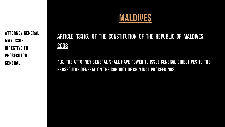

ATTORNEY GENERAL MAY ISSUE DIRECTIVE TO PROSECUTOR GENERAL

### Article 133(g) of THE Constitution of the Republic of Maldives, 2008

"(g) The Attorney General shall have power to issue general directives to the Prosecutor General on the conduct of criminal proceedings."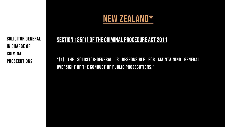SOLICITOR GENERAL in CHARGE OF CRIMINAL PROSECUTIONS

#### SECTION 185(1) OF THE CRIMINAL PROCEDURE ACT 2011

"(1) The Solicitor-General is responsible for maintaining general oversight of the conduct of public prosecutions."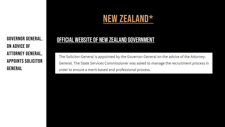ON ADVICE OF ATTORNEY GENERAL, APPOINTS SOLICITOR GENERAL

#### GOVERNOR GENERAL, **OFFICIAL WEBSITE OF NEW ZEALAND GOVERNMENT**

The Solicitor-General is appointed by the Governor-General on the advice of the Attorney-General. The State Services Commissioner was asked to manage the recruitment process in order to ensure a merit-based and professional process.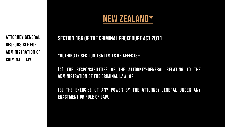ATTORNEY GENERAL RESPONSIBLE FOR ADMINISTRATION OF CRIMINAL LAW

#### SECTION 186 OF THE CRIMINAL PROCEDURE ACT 2011

"Nothing in section 185 limits or affects—

(a) the responsibilities of the Attorney-General relating to the administration of the criminal law; or

(b) the exercise of any power by the Attorney-General under any enactment or rule of law.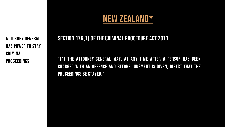ATTORNEY GENERAL HAS POWER TO STAY CRIMINAL PROCEEDINGS

#### SECTION 176(1) OF THE CRIMINAL PROCEDURE ACT 2011

"(1) The Attorney-General may, at any time after a person has been charged with an offence and before judgment is given, direct that the proceedings be stayed."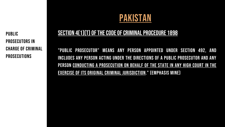PUBLIC PROSECUTORS IN CHARGE OF CRIMINAL PROSECUTIONS

### PAKISTAN

#### SECTION 4(1)(T) OF THE CODE OF CRIMINAL PROCEDURE 1898

"Public Prosecutor" means any person appointed under Section 492, and includes any person acting under the directions of a Public Prosecutor and any person conducting a prosecution on behalf of the State in any High Court in the exercise of its original criminal jurisdiction." (EMPHASIS MINE)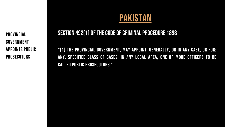PROVINCIAL GOVERNMENT APPOINTS PUBLIC PROSECUTORS

### PAKISTAN

#### SECTION 492(1) OF THE CODE OF CRIMINAL PROCEDURE 1898

"(1) The Provincial Government, may appoint, generally, or in any case, or for; any. specified class of cases, in any local area, one or more officers to be called Public Prosecutors."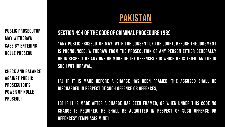PUBLIC PROSECUTOR may withdraw case by entering nolle prosequi

CHECK AND BALANCE AGAINST PUBLIC PROSECUTOR'S POWER OF NOLLE PROSEQUI

### PAKISTAN

#### SECTION 494 OF THE CODE OF CRIMINAL PROCEDURE 1989

"Any Public Prosecutor may, with the consent of the Court, before the judgment is pronounced, withdraw from the prosecution of any person either generally or in respect of any one or more of the offences for which he is tried; and upon such withdrawal,--

(a) if it is made before a charge has been framed, the accused shall be discharged in respect of such offence or offences;

(b) if it is made after a charge has been framed, or when under this Code no charge is required, he shall be acquitted in respect of such offence or offences" (EMPHASIS MINE)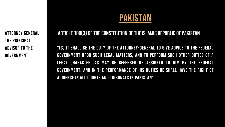PAKISTAN

ATTORNEY GENERAL THE PRINCIPAL ADVISOR TO THE GOVERNMENT

#### ARTICLE 100(3) OF THE CONSTITUTION OF THE ISLAMIC REPUBLIC OF PAKISTAN

"(3) It shall be the duty of the attorney-general to give advice to the Federal Government upon such legal matters, and to perform such other duties of a legal character, as may be referred or assigned to him by the Federal Government, and in the performance of his duties he shall have the right of audience in all courts and tribunals in PAkistan"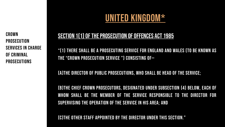CROWN PROSECUTION SERVICES IN CHARGE OF CRIMINAL PROSECUTIONS

### UNITED KINGDOM\*

#### SECTION 1(1) OF THE PROSECUTION OF OFFENCES ACT 1985

"(1) There shall be a prosecuting service for England and Wales (to be known as the "Crown Prosecution Service ") consisting of—

(a)the Director of Public Prosecutions, who shall be head of the Service;

(b)the Chief Crown Prosecutors, designated under subsection (4) below, each of whom shall be the member of the Service responsible to the Director for supervising the operation of the Service in his area; and

(c)the other staff appointed by the Director under this section."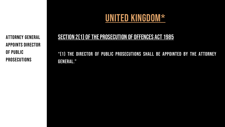ATTORNEY GENERAL APPOINTS DIRECTOR OF PUBLIC PROSECUTIONS

### UNITED KINGDOM\*

### SECTION 2(1) OF THE PROSECUTION OF OFFENCES ACT 1985 "(1) The Director of Public Prosecutions shall be appointed by the Attorney GENERAL."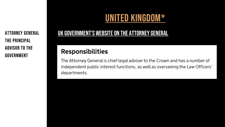THE PRINCIPAL ADVISOR TO THE GOVERNMENT

### UNITED KINGDOM\*

### ATTORNEY GENERAL **UK GOVERNMENT'S WEBSITE ON THE ATTORNEY GENERAL**

### **Responsibilities**

The Attorney General is chief legal adviser to the Crown and has a number of independent public interest functions, as well as overseeing the Law Officers' departments.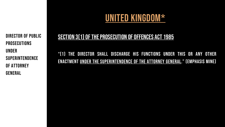DIRECTOR OF PUBLIC PROSECUTIONS UNDER **SUPERINTENDENCE** OF ATTORNEY GENERAL

### UNITED KINGDOM\*

#### SECTION 3(1) OF THE PROSECUTION OF OFFENCES ACT 1985

"(1) The Director shall discharge his functions under this or any other enactment under the superintendence of the Attorney General." (EMPHASIS MINE)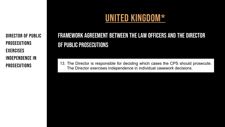DIRECTOR OF PUBLIC PROSECUTIONS **EXERCISES** INDEPENDENCE IN PROSECUTIONS

### UNITED KINGDOM\*

### Framework agreement between the Law Officers and the Director OF PUBLIC PROSECUTIONS

13. The Director is responsible for deciding which cases the CPS should prosecute. The Director exercises independence in individual casework decisions.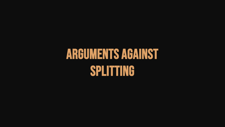# ARGUMENTS AGAINST SPLITTING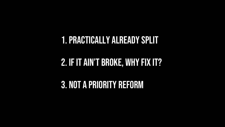### 1.Practically alreadysplit

## 2. IF IT AIN'T BROKE, WHY FIX IT?

3. Not a priority reform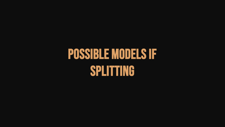# POSSIBLE MODELS IF SPLITTING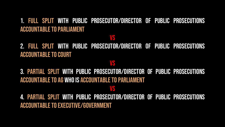### 1. Full split with Public Prosecutor/Director of Public Prosecutions **ACCOUNTABLE TO PARLIAMENT**

#### VS

2. Full split with Public Prosecutor/Director of Public Prosecutions **ACCOUNTABLE TO COURT** 

#### VS

3. Partial split with Public Prosecutor/Director of Public Prosecutions ACCOUNTABLE TO AG WHO IS ACCOUNTABLE TO PARLIAMENT

#### VS

4. Partial split with Public Prosecutor/Director of Public Prosecutions ACCOUNTABLE TO EXECUTIVE/GOVERNMENT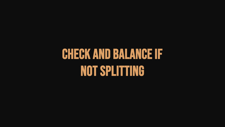# CHECK AND BALANCE IF NOT SPLITTING